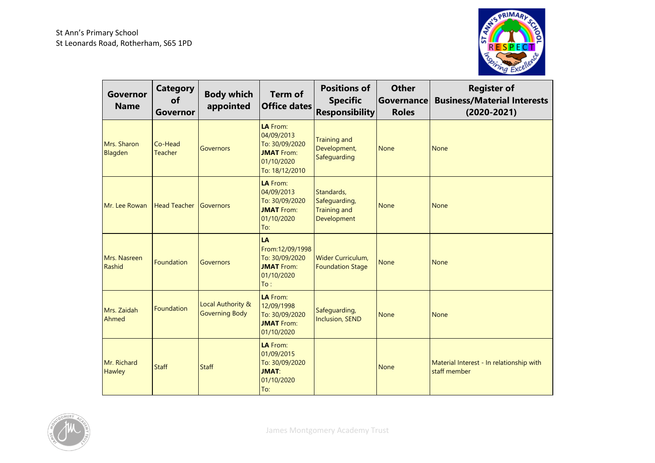

| Governor<br><b>Name</b> | <b>Category</b><br>of<br><b>Governor</b> | <b>Body which</b><br>appointed             | <b>Term of</b><br>Office dates                                                                | <b>Positions of</b><br><b>Specific</b><br><b>Responsibility</b>   | <b>Other</b><br>Governance<br><b>Roles</b> | <b>Register of</b><br><b>Business/Material Interests</b><br>$(2020 - 2021)$ |
|-------------------------|------------------------------------------|--------------------------------------------|-----------------------------------------------------------------------------------------------|-------------------------------------------------------------------|--------------------------------------------|-----------------------------------------------------------------------------|
| Mrs. Sharon<br>Blagden  | Co-Head<br><b>Teacher</b>                | <b>Governors</b>                           | LA From:<br>04/09/2013<br>To: 30/09/2020<br><b>JMAT</b> From:<br>01/10/2020<br>To: 18/12/2010 | <b>Training and</b><br>Development,<br>Safeguarding               | <b>None</b>                                | <b>None</b>                                                                 |
| Mr. Lee Rowan           | <b>Head Teacher</b>                      | <b>Governors</b>                           | LA From:<br>04/09/2013<br>To: 30/09/2020<br><b>JMAT</b> From:<br>01/10/2020<br>To:            | Standards,<br>Safeguarding,<br><b>Training and</b><br>Development | <b>None</b>                                | None                                                                        |
| Mrs. Nasreen<br>Rashid  | Foundation                               | <b>Governors</b>                           | LA<br>From:12/09/1998<br>To: 30/09/2020<br><b>JMAT</b> From:<br>01/10/2020<br>To:             | Wider Curriculum,<br><b>Foundation Stage</b>                      | <b>None</b>                                | None                                                                        |
| Mrs. Zaidah<br>Ahmed    | <b>Foundation</b>                        | Local Authority &<br><b>Governing Body</b> | LA From:<br>12/09/1998<br>To: 30/09/2020<br><b>JMAT</b> From:<br>01/10/2020                   | Safeguarding,<br><b>Inclusion, SEND</b>                           | <b>None</b>                                | <b>None</b>                                                                 |
| Mr. Richard<br>Hawley   | <b>Staff</b>                             | <b>Staff</b>                               | LA From:<br>01/09/2015<br>To: 30/09/2020<br><b>JMAT:</b><br>01/10/2020<br>To:                 |                                                                   | <b>None</b>                                | Material Interest - In relationship with<br>staff member                    |

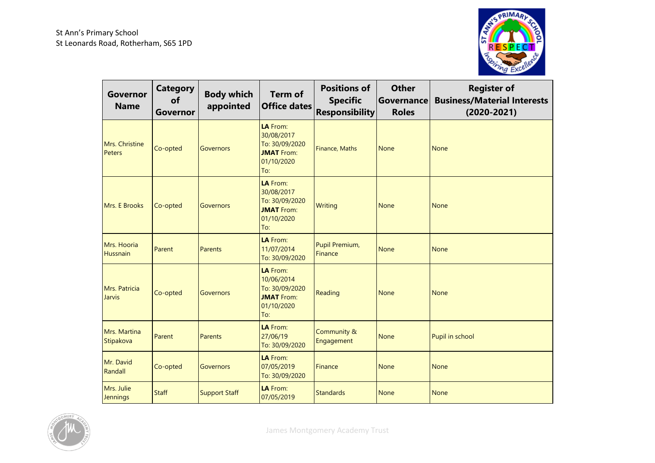

| Governor<br><b>Name</b>         | <b>Category</b><br>of<br>Governor | <b>Body which</b><br>appointed | <b>Term of</b><br><b>Office dates</b>                                              | <b>Positions of</b><br><b>Specific</b><br><b>Responsibility</b> | <b>Other</b><br><b>Governance</b><br><b>Roles</b> | <b>Register of</b><br><b>Business/Material Interests</b><br>$(2020 - 2021)$ |
|---------------------------------|-----------------------------------|--------------------------------|------------------------------------------------------------------------------------|-----------------------------------------------------------------|---------------------------------------------------|-----------------------------------------------------------------------------|
| Mrs. Christine<br><b>Peters</b> | Co-opted                          | <b>Governors</b>               | LA From:<br>30/08/2017<br>To: 30/09/2020<br><b>JMAT</b> From:<br>01/10/2020<br>To: | Finance, Maths                                                  | <b>None</b>                                       | <b>None</b>                                                                 |
| Mrs. E Brooks                   | Co-opted                          | Governors                      | LA From:<br>30/08/2017<br>To: 30/09/2020<br><b>JMAT</b> From:<br>01/10/2020<br>To: | <b>Writing</b>                                                  | <b>None</b>                                       | <b>None</b>                                                                 |
| Mrs. Hooria<br><b>Hussnain</b>  | Parent                            | Parents                        | LA From:<br>11/07/2014<br>To: 30/09/2020                                           | Pupil Premium,<br><b>Finance</b>                                | <b>None</b>                                       | <b>None</b>                                                                 |
| Mrs. Patricia<br><b>Jarvis</b>  | Co-opted                          | <b>Governors</b>               | LA From:<br>10/06/2014<br>To: 30/09/2020<br><b>JMAT</b> From:<br>01/10/2020<br>To: | Reading                                                         | <b>None</b>                                       | <b>None</b>                                                                 |
| Mrs. Martina<br>Stipakova       | Parent                            | Parents                        | LA From:<br>27/06/19<br>To: 30/09/2020                                             | Community &<br>Engagement                                       | <b>None</b>                                       | Pupil in school                                                             |
| Mr. David<br>Randall            | Co-opted                          | <b>Governors</b>               | LA From:<br>07/05/2019<br>To: 30/09/2020                                           | Finance                                                         | <b>None</b>                                       | <b>None</b>                                                                 |
| Mrs. Julie<br><b>Jennings</b>   | <b>Staff</b>                      | <b>Support Staff</b>           | LA From:<br>07/05/2019                                                             | <b>Standards</b>                                                | <b>None</b>                                       | <b>None</b>                                                                 |